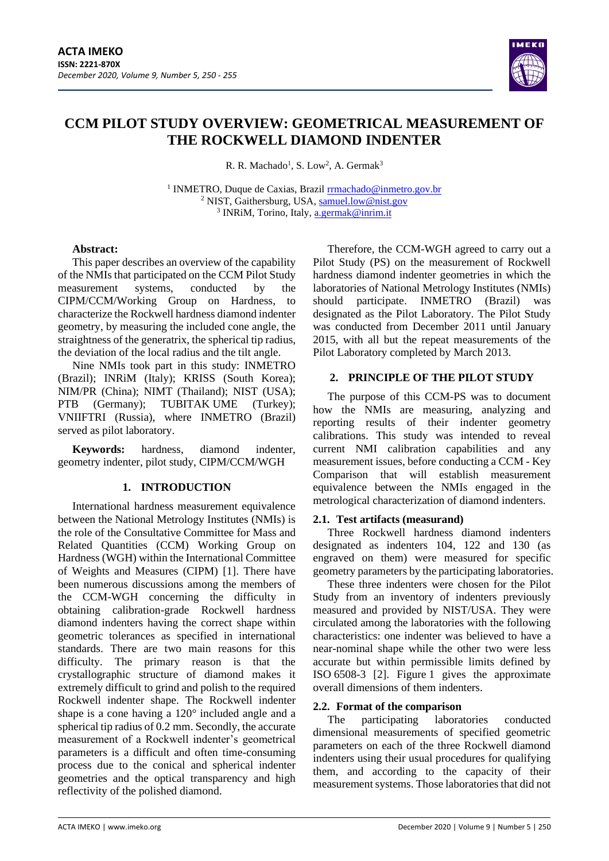

# **CCM PILOT STUDY OVERVIEW: GEOMETRICAL MEASUREMENT OF THE ROCKWELL DIAMOND INDENTER**

R. R. Machado<sup>1</sup>, S. Low<sup>2</sup>, A. Germak<sup>3</sup>

<sup>1</sup> INMETRO, Duque de Caxias, Brazil **[rrmachado@inmetro.gov.br](mailto:rrmachado@inmetro.gov.br)** <sup>2</sup> NIST, Gaithersburg, USA, [samuel.low@nist.gov](mailto:samuel.low@nist.gov) <sup>3</sup> INRiM, Torino, Italy, <u>[a.germak@inrim.it](mailto:a.germak@inrim.it)</u>

## **Abstract:**

This paper describes an overview of the capability of the NMIs that participated on the CCM Pilot Study measurement systems, conducted by the CIPM/CCM/Working Group on Hardness, to characterize the Rockwell hardness diamond indenter geometry, by measuring the included cone angle, the straightness of the generatrix, the spherical tip radius, the deviation of the local radius and the tilt angle.

Nine NMIs took part in this study: INMETRO (Brazil); INRiM (Italy); KRISS (South Korea); NIM/PR (China); NIMT (Thailand); NIST (USA); PTB (Germany); TUBITAK UME (Turkey); VNIIFTRI (Russia), where INMETRO (Brazil) served as pilot laboratory.

**Keywords:** hardness, diamond indenter, geometry indenter, pilot study, CIPM/CCM/WGH

## **1. INTRODUCTION**

International hardness measurement equivalence between the National Metrology Institutes (NMIs) is the role of the Consultative Committee for Mass and Related Quantities (CCM) Working Group on Hardness (WGH) within the International Committee of Weights and Measures (CIPM) [1]. There have been numerous discussions among the members of the CCM-WGH concerning the difficulty in obtaining calibration-grade Rockwell hardness diamond indenters having the correct shape within geometric tolerances as specified in international standards. There are two main reasons for this difficulty. The primary reason is that the crystallographic structure of diamond makes it extremely difficult to grind and polish to the required Rockwell indenter shape. The Rockwell indenter shape is a cone having a 120° included angle and a spherical tip radius of 0.2 mm. Secondly, the accurate measurement of a Rockwell indenter's geometrical parameters is a difficult and often time-consuming process due to the conical and spherical indenter geometries and the optical transparency and high reflectivity of the polished diamond.

Therefore, the CCM-WGH agreed to carry out a Pilot Study (PS) on the measurement of Rockwell hardness diamond indenter geometries in which the laboratories of National Metrology Institutes (NMIs) should participate. INMETRO (Brazil) was designated as the Pilot Laboratory. The Pilot Study was conducted from December 2011 until January 2015, with all but the repeat measurements of the Pilot Laboratory completed by March 2013.

## **2. PRINCIPLE OF THE PILOT STUDY**

The purpose of this CCM-PS was to document how the NMIs are measuring, analyzing and reporting results of their indenter geometry calibrations. This study was intended to reveal current NMI calibration capabilities and any measurement issues, before conducting a CCM - Key Comparison that will establish measurement equivalence between the NMIs engaged in the metrological characterization of diamond indenters.

## **2.1. Test artifacts (measurand)**

Three Rockwell hardness diamond indenters designated as indenters 104, 122 and 130 (as engraved on them) were measured for specific geometry parameters by the participating laboratories.

These three indenters were chosen for the Pilot Study from an inventory of indenters previously measured and provided by NIST/USA. They were circulated among the laboratories with the following characteristics: one indenter was believed to have a near-nominal shape while the other two were less accurate but within permissible limits defined by ISO 6508-3 [2]. Figure 1 gives the approximate overall dimensions of them indenters.

## **2.2. Format of the comparison**

The participating laboratories conducted dimensional measurements of specified geometric parameters on each of the three Rockwell diamond indenters using their usual procedures for qualifying them, and according to the capacity of their measurement systems. Those laboratories that did not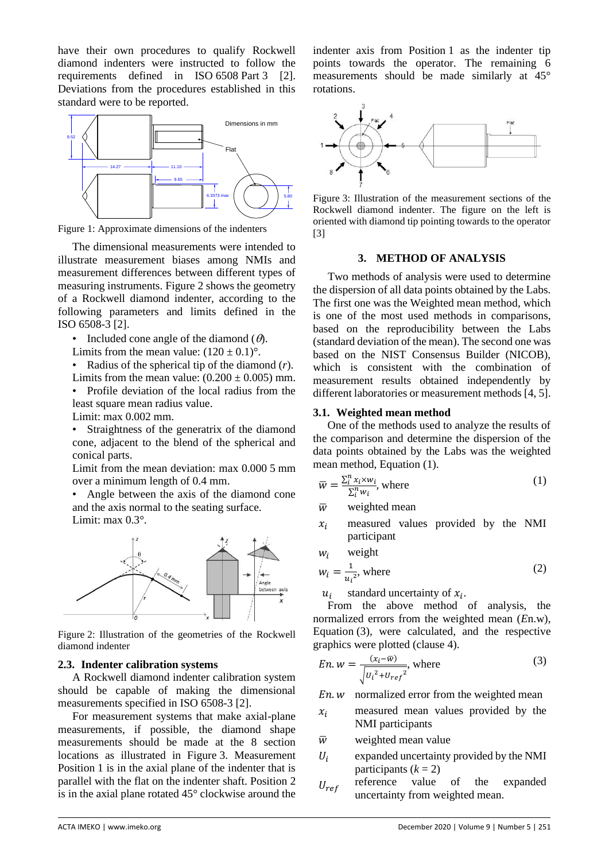have their own procedures to qualify Rockwell diamond indenters were instructed to follow the requirements defined in ISO 6508 Part 3 [2]. Deviations from the procedures established in this standard were to be reported.



Figure 1: Approximate dimensions of the indenters

The dimensional measurements were intended to illustrate measurement biases among NMIs and measurement differences between different types of measuring instruments. Figure 2 shows the geometry of a Rockwell diamond indenter, according to the following parameters and limits defined in the ISO 6508-3 [2].

- Included cone angle of the diamond  $(\theta)$ .
- Limits from the mean value:  $(120 \pm 0.1)$ °.
- Radius of the spherical tip of the diamond (*r*).

Limits from the mean value:  $(0.200 \pm 0.005)$  mm. • Profile deviation of the local radius from the least square mean radius value.

Limit: max 0.002 mm.

Straightness of the generatrix of the diamond cone, adjacent to the blend of the spherical and conical parts.

Limit from the mean deviation: max 0.000 5 mm over a minimum length of 0.4 mm.

• Angle between the axis of the diamond cone and the axis normal to the seating surface. Limit: max 0.3°.



Figure 2: Illustration of the geometries of the Rockwell diamond indenter

### **2.3. Indenter calibration systems**

A Rockwell diamond indenter calibration system should be capable of making the dimensional measurements specified in ISO 6508-3 [2].

For measurement systems that make axial-plane measurements, if possible, the diamond shape measurements should be made at the 8 section locations as illustrated in Figure 3. Measurement Position 1 is in the axial plane of the indenter that is parallel with the flat on the indenter shaft. Position 2 is in the axial plane rotated 45° clockwise around the indenter axis from Position 1 as the indenter tip points towards the operator. The remaining 6 measurements should be made similarly at 45° rotations.



Figure 3: Illustration of the measurement sections of the Rockwell diamond indenter. The figure on the left is oriented with diamond tip pointing towards to the operator [3]

### **3. METHOD OF ANALYSIS**

Two methods of analysis were used to determine the dispersion of all data points obtained by the Labs. The first one was the Weighted mean method, which is one of the most used methods in comparisons, based on the reproducibility between the Labs (standard deviation of the mean). The second one was based on the NIST Consensus Builder (NICOB), which is consistent with the combination of measurement results obtained independently by different laboratories or measurement methods [4, 5].

### **3.1. Weighted mean method**

One of the methods used to analyze the results of the comparison and determine the dispersion of the data points obtained by the Labs was the weighted mean method, Equation (1).

$$
\overline{w} = \frac{\sum_{i}^{n} x_{i} \times w_{i}}{\sum_{i}^{n} w_{i}}, \text{ where}
$$
\n(1)

 $\overline{w}$  weighted mean

 $x_i$  measured values provided by the NMI participant

$$
w_i \qquad \text{weight}
$$

$$
w_i = \frac{1}{u_i^2}
$$
, where (2)

 $u_i$ standard uncertainty of  $x_i$ .

From the above method of analysis, the normalized errors from the weighted mean (*E*n.w), Equation (3), were calculated, and the respective graphics were plotted (clause 4).

$$
En. w = \frac{(x_i - \overline{w})}{\sqrt{U_i^2 + U_{ref}^2}}, \text{ where}
$$
 (3)

 $En.w$  normalized error from the weighted mean

- $x_i$  measured mean values provided by the NMI participants
- $\overline{w}$  weighted mean value
- $U_i$ expanded uncertainty provided by the NMI participants  $(k = 2)$
- $U_{ref}$  reference value of the expanded uncertainty from weighted mean.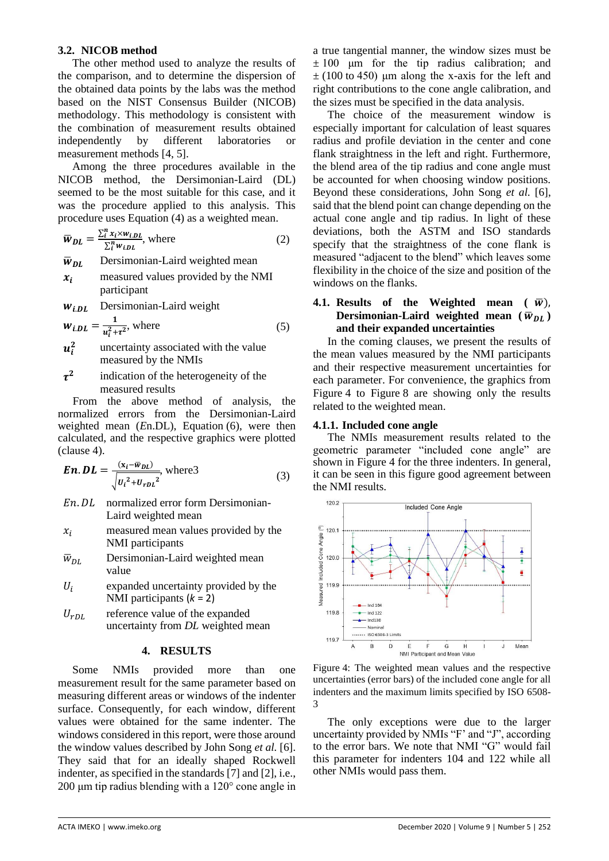## **3.2. NICOB method**

The other method used to analyze the results of the comparison, and to determine the dispersion of the obtained data points by the labs was the method based on the NIST Consensus Builder (NICOB) methodology. This methodology is consistent with the combination of measurement results obtained independently by different laboratories or measurement methods [4, 5].

Among the three procedures available in the NICOB method, the Dersimonian-Laird (DL) seemed to be the most suitable for this case, and it was the procedure applied to this analysis. This procedure uses Equation (4) as a weighted mean.

$$
\overline{w}_{DL} = \frac{\sum_{i}^{n} x_{i} \times w_{i,DL}}{\sum_{i}^{n} w_{i,DL}}, \text{ where}
$$
 (2)

 $\bar{w}_{DL}$  Dersimonian-Laird weighted mean

- $x_i$  measured values provided by the NMI participant
- $w_{i,DL}$  Dersimonian-Laird weight

$$
w_{i.DL} = \frac{1}{u_i^2 + \tau^2}
$$
, where (5)

- $u_i^2$  uncertainty associated with the value measured by the NMIs
- $\tau^2$  indication of the heterogeneity of the measured results

From the above method of analysis, the normalized errors from the Dersimonian-Laird weighted mean (*E*n.DL), Equation (6), were then calculated, and the respective graphics were plotted (clause 4).

**En. D** 
$$
L = \frac{(x_i - \overline{w_{DL}})}{\sqrt{u_i^2 + u_{rDL}^2}}
$$
, where3 (3)

- En. DL normalized error form Dersimonian-Laird weighted mean
- $x_i$  measured mean values provided by the NMI participants
- $\bar{w}_{DL}$  Dersimonian-Laird weighted mean value
- $U_i$  expanded uncertainty provided by the NMI participants (*k* = 2)
- $U_{rDL}$  reference value of the expanded uncertainty from *DL* weighted mean

### **4. RESULTS**

Some NMIs provided more than one measurement result for the same parameter based on measuring different areas or windows of the indenter surface. Consequently, for each window, different values were obtained for the same indenter. The windows considered in this report, were those around the window values described by John Song *et al.* [6]. They said that for an ideally shaped Rockwell indenter, as specified in the standards [7] and [2], i.e., 200 μm tip radius blending with a 120° cone angle in

a true tangential manner, the window sizes must be  $\pm 100$  μm for the tip radius calibration; and  $\pm$  (100 to 450) μm along the x-axis for the left and right contributions to the cone angle calibration, and the sizes must be specified in the data analysis.

The choice of the measurement window is especially important for calculation of least squares radius and profile deviation in the center and cone flank straightness in the left and right. Furthermore, the blend area of the tip radius and cone angle must be accounted for when choosing window positions. Beyond these considerations, John Song *et al.* [6], said that the blend point can change depending on the actual cone angle and tip radius. In light of these deviations, both the ASTM and ISO standards specify that the straightness of the cone flank is measured "adjacent to the blend" which leaves some flexibility in the choice of the size and position of the windows on the flanks.

## **4.1.** Results of the Weighted mean  $(\bar{w})$ , **Dersimonian-Laird** weighted mean  $(\bar{w}_{DL})$ **and their expanded uncertainties**

In the coming clauses, we present the results of the mean values measured by the NMI participants and their respective measurement uncertainties for each parameter. For convenience, the graphics from Figure 4 to Figure 8 are showing only the results related to the weighted mean.

## **4.1.1. Included cone angle**

The NMIs measurement results related to the geometric parameter "included cone angle" are shown in Figure 4 for the three indenters. In general, it can be seen in this figure good agreement between the NMI results.



Figure 4: The weighted mean values and the respective uncertainties (error bars) of the included cone angle for all indenters and the maximum limits specified by ISO 6508- 3

The only exceptions were due to the larger uncertainty provided by NMIs "F' and "J", according to the error bars. We note that NMI "G" would fail this parameter for indenters 104 and 122 while all other NMIs would pass them.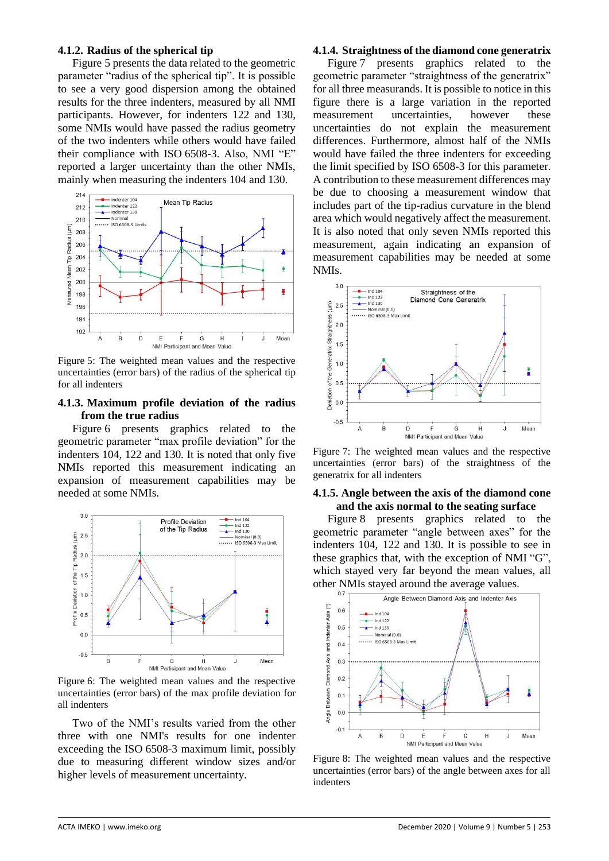## **4.1.2. Radius of the spherical tip**

Figure 5 presents the data related to the geometric parameter "radius of the spherical tip". It is possible to see a very good dispersion among the obtained results for the three indenters, measured by all NMI participants. However, for indenters 122 and 130, some NMIs would have passed the radius geometry of the two indenters while others would have failed their compliance with ISO 6508-3. Also, NMI "E" reported a larger uncertainty than the other NMIs, mainly when measuring the indenters 104 and 130.



Figure 5: The weighted mean values and the respective uncertainties (error bars) of the radius of the spherical tip for all indenters

## **4.1.3. Maximum profile deviation of the radius from the true radius**

Figure 6 presents graphics related to the geometric parameter "max profile deviation" for the indenters 104, 122 and 130. It is noted that only five NMIs reported this measurement indicating an expansion of measurement capabilities may be needed at some NMIs.



Figure 6: The weighted mean values and the respective uncertainties (error bars) of the max profile deviation for all indenters

Two of the NMI's results varied from the other three with one NMI's results for one indenter exceeding the ISO 6508-3 maximum limit, possibly due to measuring different window sizes and/or higher levels of measurement uncertainty.

## **4.1.4. Straightness of the diamond cone generatrix**

Figure 7 presents graphics related to the geometric parameter "straightness of the generatrix" for all three measurands. It is possible to notice in this figure there is a large variation in the reported measurement uncertainties, however these uncertainties do not explain the measurement differences. Furthermore, almost half of the NMIs would have failed the three indenters for exceeding the limit specified by ISO 6508-3 for this parameter. A contribution to these measurement differences may be due to choosing a measurement window that includes part of the tip-radius curvature in the blend area which would negatively affect the measurement. It is also noted that only seven NMIs reported this measurement, again indicating an expansion of measurement capabilities may be needed at some NMIs.



Figure 7: The weighted mean values and the respective uncertainties (error bars) of the straightness of the generatrix for all indenters

### **4.1.5. Angle between the axis of the diamond cone and the axis normal to the seating surface**

Figure 8 presents graphics related to the geometric parameter "angle between axes" for the indenters 104, 122 and 130. It is possible to see in these graphics that, with the exception of NMI "G", which stayed very far beyond the mean values, all other NMIs stayed around the average values.



Figure 8: The weighted mean values and the respective uncertainties (error bars) of the angle between axes for all indenters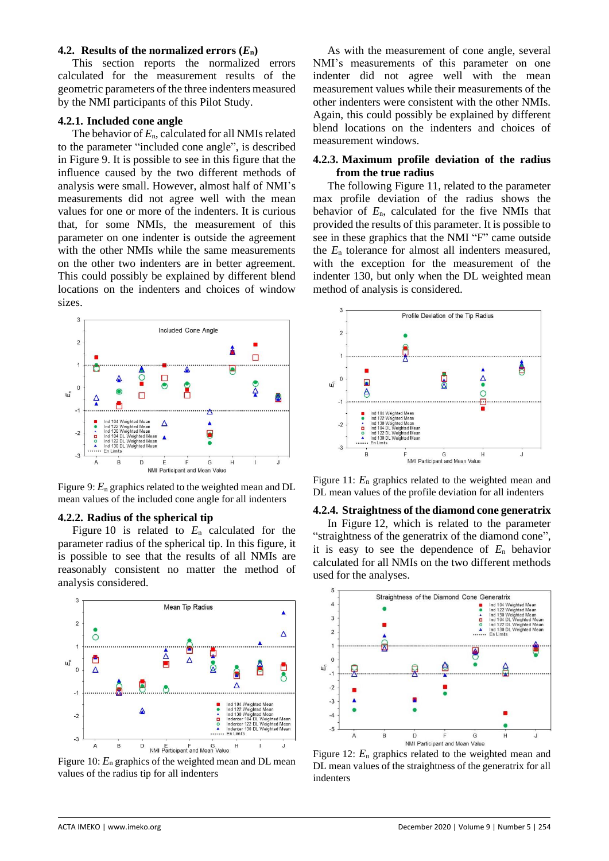### **4.2. Results of the normalized errors**  $(E_n)$

This section reports the normalized errors calculated for the measurement results of the geometric parameters of the three indenters measured by the NMI participants of this Pilot Study.

#### **4.2.1. Included cone angle**

The behavior of *E*n, calculated for all NMIs related to the parameter "included cone angle", is described in Figure 9. It is possible to see in this figure that the influence caused by the two different methods of analysis were small. However, almost half of NMI's measurements did not agree well with the mean values for one or more of the indenters. It is curious that, for some NMIs, the measurement of this parameter on one indenter is outside the agreement with the other NMIs while the same measurements on the other two indenters are in better agreement. This could possibly be explained by different blend locations on the indenters and choices of window sizes.



Figure 9:  $E_n$  graphics related to the weighted mean and DL mean values of the included cone angle for all indenters

#### **4.2.2. Radius of the spherical tip**

Figure 10 is related to *E*<sup>n</sup> calculated for the parameter radius of the spherical tip. In this figure, it is possible to see that the results of all NMIs are reasonably consistent no matter the method of analysis considered.



Figure 10:  $E_n$  graphics of the weighted mean and DL mean values of the radius tip for all indenters

As with the measurement of cone angle, several NMI's measurements of this parameter on one indenter did not agree well with the mean measurement values while their measurements of the other indenters were consistent with the other NMIs. Again, this could possibly be explained by different blend locations on the indenters and choices of measurement windows.

#### **4.2.3. Maximum profile deviation of the radius from the true radius**

The following Figure 11, related to the parameter max profile deviation of the radius shows the behavior of *E*n, calculated for the five NMIs that provided the results of this parameter. It is possible to see in these graphics that the NMI "F" came outside the *E*<sup>n</sup> tolerance for almost all indenters measured, with the exception for the measurement of the indenter 130, but only when the DL weighted mean method of analysis is considered.



Figure 11: *E*<sup>n</sup> graphics related to the weighted mean and DL mean values of the profile deviation for all indenters

#### **4.2.4. Straightness of the diamond cone generatrix**

In Figure 12, which is related to the parameter "straightness of the generatrix of the diamond cone", it is easy to see the dependence of *E*<sup>n</sup> behavior calculated for all NMIs on the two different methods used for the analyses.



Figure 12:  $E_n$  graphics related to the weighted mean and DL mean values of the straightness of the generatrix for all indenters